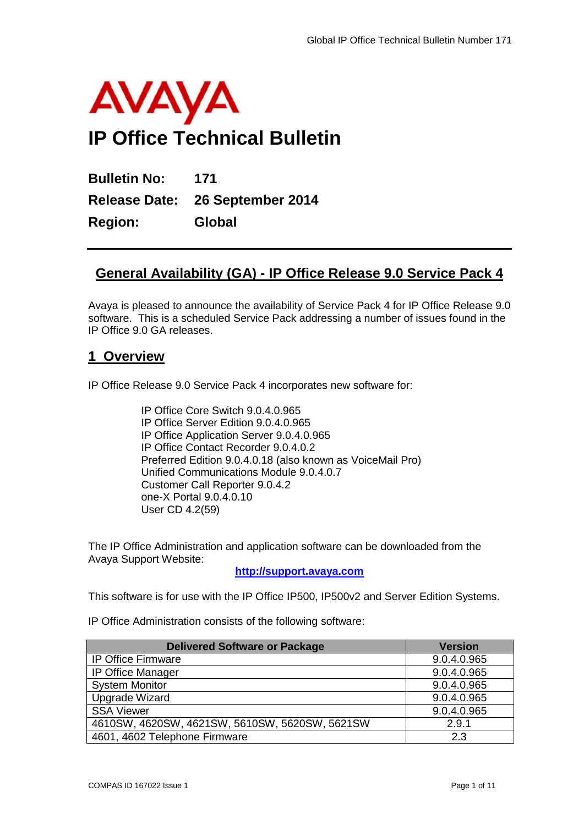

**Bulletin No: 171 Release Date: 26 September 2014 Region: Global**

# **General Availability (GA) - IP Office Release 9.0 Service Pack 4**

Avaya is pleased to announce the availability of Service Pack 4 for IP Office Release 9.0 software. This is a scheduled Service Pack addressing a number of issues found in the IP Office 9.0 GA releases.

# **1 Overview**

IP Office Release 9.0 Service Pack 4 incorporates new software for:

IP Office Core Switch 9.0.4.0.965 IP Office Server Edition 9.0.4.0.965 IP Office Application Server 9.0.4.0.965 IP Office Contact Recorder 9.0.4.0.2 Preferred Edition 9.0.4.0.18 (also known as VoiceMail Pro) Unified Communications Module 9.0.4.0.7 Customer Call Reporter 9.0.4.2 one-X Portal 9.0.4.0.10 User CD 4.2(59)

The IP Office Administration and application software can be downloaded from the Avaya Support Website:

**[http://support.avaya.com](http://support.avaya.com/)**

This software is for use with the IP Office IP500, IP500v2 and Server Edition Systems.

IP Office Administration consists of the following software:

| <b>Delivered Software or Package</b>           | <b>Version</b> |
|------------------------------------------------|----------------|
| <b>IP Office Firmware</b>                      | 9.0.4.0.965    |
| <b>IP Office Manager</b>                       | 9.0.4.0.965    |
| <b>System Monitor</b>                          | 9.0.4.0.965    |
| Upgrade Wizard                                 | 9.0.4.0.965    |
| <b>SSA Viewer</b>                              | 9.0.4.0.965    |
| 4610SW, 4620SW, 4621SW, 5610SW, 5620SW, 5621SW | 2.9.1          |
| 4601, 4602 Telephone Firmware                  | 2.3            |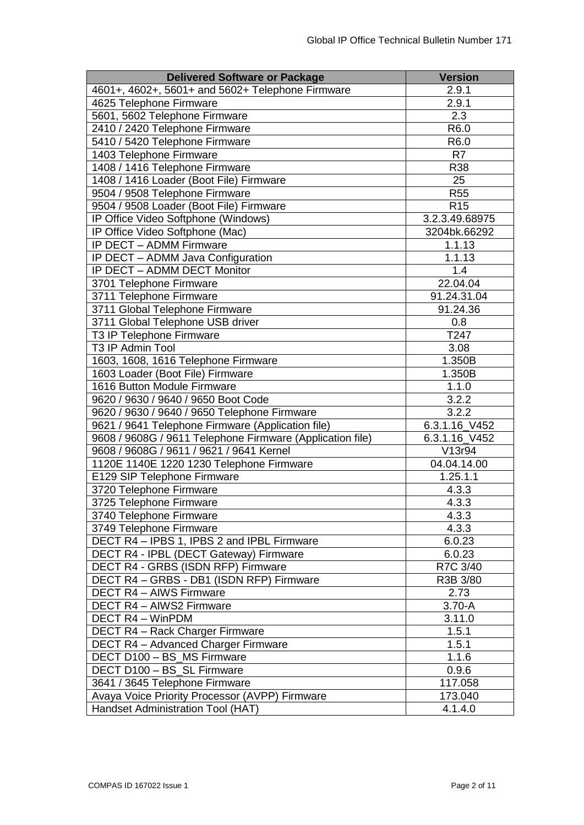| <b>Delivered Software or Package</b>                      | <b>Version</b>      |
|-----------------------------------------------------------|---------------------|
| 4601+, 4602+, 5601+ and 5602+ Telephone Firmware          | 2.9.1               |
| 4625 Telephone Firmware                                   | 2.9.1               |
| 5601, 5602 Telephone Firmware                             | 2.3                 |
| 2410 / 2420 Telephone Firmware                            | R6.0                |
| 5410 / 5420 Telephone Firmware                            | R6.0                |
| 1403 Telephone Firmware                                   | R <sub>7</sub>      |
| 1408 / 1416 Telephone Firmware                            | R38                 |
| 1408 / 1416 Loader (Boot File) Firmware                   | 25                  |
| 9504 / 9508 Telephone Firmware                            | <b>R55</b>          |
| 9504 / 9508 Loader (Boot File) Firmware                   | R <sub>15</sub>     |
| IP Office Video Softphone (Windows)                       | 3.2.3.49.68975      |
| IP Office Video Softphone (Mac)                           | 3204bk.66292        |
| IP DECT - ADMM Firmware                                   | 1.1.13              |
| IP DECT - ADMM Java Configuration                         | $\overline{1.1.13}$ |
| IP DECT - ADMM DECT Monitor                               | 1.4                 |
| 3701 Telephone Firmware                                   | 22.04.04            |
| 3711 Telephone Firmware                                   | 91.24.31.04         |
| 3711 Global Telephone Firmware                            | 91.24.36            |
| 3711 Global Telephone USB driver                          | 0.8                 |
| T3 IP Telephone Firmware                                  | T247                |
| T3 IP Admin Tool                                          | 3.08                |
| 1603, 1608, 1616 Telephone Firmware                       | 1.350B              |
| 1603 Loader (Boot File) Firmware                          | 1.350B              |
| 1616 Button Module Firmware                               | 1.1.0               |
| 9620 / 9630 / 9640 / 9650 Boot Code                       | 3.2.2               |
| 9620 / 9630 / 9640 / 9650 Telephone Firmware              | 3.2.2               |
| 9621 / 9641 Telephone Firmware (Application file)         | 6.3.1.16 V452       |
| 9608 / 9608G / 9611 Telephone Firmware (Application file) | 6.3.1.16_V452       |
| 9608 / 9608G / 9611 / 9621 / 9641 Kernel                  | V13r94              |
| 1120E 1140E 1220 1230 Telephone Firmware                  | 04.04.14.00         |
| E129 SIP Telephone Firmware                               | 1.25.1.1            |
| 3720 Telephone Firmware                                   | 4.3.3               |
| 3725 Telephone Firmware                                   | 4.3.3               |
| 3740 Telephone Firmware                                   | 4.3.3               |
| 3749 Telephone Firmware                                   | 4.3.3               |
| DECT R4 - IPBS 1, IPBS 2 and IPBL Firmware                | 6.0.23              |
| DECT R4 - IPBL (DECT Gateway) Firmware                    | 6.0.23              |
| DECT R4 - GRBS (ISDN RFP) Firmware                        | R7C 3/40            |
| DECT R4 - GRBS - DB1 (ISDN RFP) Firmware                  | R3B 3/80            |
| <b>DECT R4 - AIWS Firmware</b>                            | 2.73                |
| DECT R4 - AIWS2 Firmware                                  | $3.70 - A$          |
| DECT R4 - WinPDM                                          | 3.11.0              |
| DECT R4 - Rack Charger Firmware                           | 1.5.1               |
| <b>DECT R4 - Advanced Charger Firmware</b>                | 1.5.1               |
| DECT D100 - BS_MS Firmware                                | 1.1.6               |
| DECT D100 - BS_SL Firmware                                | 0.9.6               |
| 3641 / 3645 Telephone Firmware                            | 117.058             |
| Avaya Voice Priority Processor (AVPP) Firmware            | 173.040             |
| Handset Administration Tool (HAT)                         | 4.1.4.0             |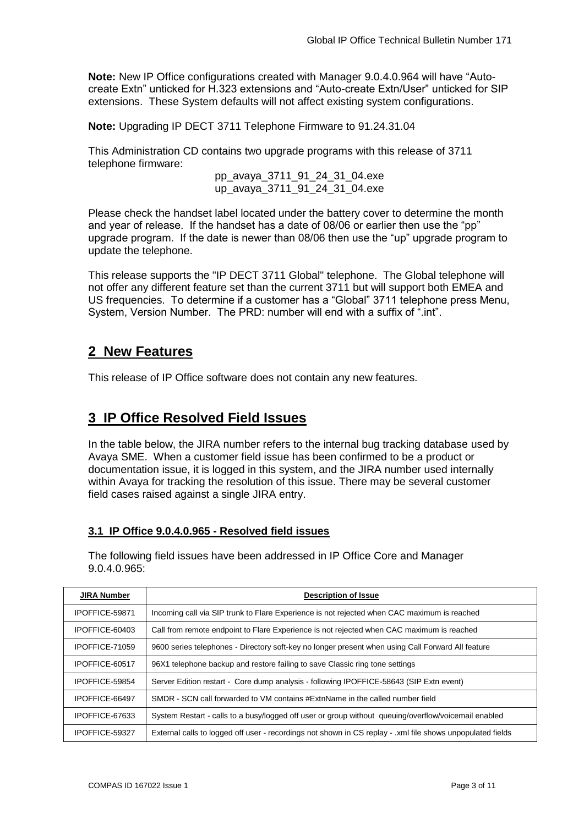**Note:** New IP Office configurations created with Manager 9.0.4.0.964 will have "Autocreate Extn" unticked for H.323 extensions and "Auto-create Extn/User" unticked for SIP extensions. These System defaults will not affect existing system configurations.

**Note:** Upgrading IP DECT 3711 Telephone Firmware to 91.24.31.04

This Administration CD contains two upgrade programs with this release of 3711 telephone firmware:

> pp\_avaya\_3711\_91\_24\_31\_04.exe up\_avaya\_3711\_91\_24\_31\_04.exe

Please check the handset label located under the battery cover to determine the month and year of release. If the handset has a date of 08/06 or earlier then use the "pp" upgrade program. If the date is newer than 08/06 then use the "up" upgrade program to update the telephone.

This release supports the "IP DECT 3711 Global" telephone. The Global telephone will not offer any different feature set than the current 3711 but will support both EMEA and US frequencies. To determine if a customer has a "Global" 3711 telephone press Menu, System, Version Number. The PRD: number will end with a suffix of ".int".

# **2 New Features**

This release of IP Office software does not contain any new features.

# **3 IP Office Resolved Field Issues**

In the table below, the JIRA number refers to the internal bug tracking database used by Avaya SME. When a customer field issue has been confirmed to be a product or documentation issue, it is logged in this system, and the JIRA number used internally within Avaya for tracking the resolution of this issue. There may be several customer field cases raised against a single JIRA entry.

# **3.1 IP Office 9.0.4.0.965 - Resolved field issues**

The following field issues have been addressed in IP Office Core and Manager 9.0.4.0.965:

| <b>JIRA Number</b>                                                                                                           | <b>Description of Issue</b>                                                                 |  |  |
|------------------------------------------------------------------------------------------------------------------------------|---------------------------------------------------------------------------------------------|--|--|
| IPOFFICE-59871                                                                                                               | Incoming call via SIP trunk to Flare Experience is not rejected when CAC maximum is reached |  |  |
| Call from remote endpoint to Flare Experience is not rejected when CAC maximum is reached<br>IPOFFICE-60403                  |                                                                                             |  |  |
| 9600 series telephones - Directory soft-key no longer present when using Call Forward All feature<br>IPOFFICE-71059          |                                                                                             |  |  |
| 96X1 telephone backup and restore failing to save Classic ring tone settings<br>IPOFFICE-60517                               |                                                                                             |  |  |
| Server Edition restart - Core dump analysis - following IPOFFICE-58643 (SIP Extn event)<br>IPOFFICE-59854                    |                                                                                             |  |  |
| SMDR - SCN call forwarded to VM contains #ExtnName in the called number field<br>IPOFFICE-66497                              |                                                                                             |  |  |
| System Restart - calls to a busy/logged off user or group without queuing/overflow/voicemail enabled<br>IPOFFICE-67633       |                                                                                             |  |  |
| External calls to logged off user - recordings not shown in CS replay - .xml file shows unpopulated fields<br>IPOFFICE-59327 |                                                                                             |  |  |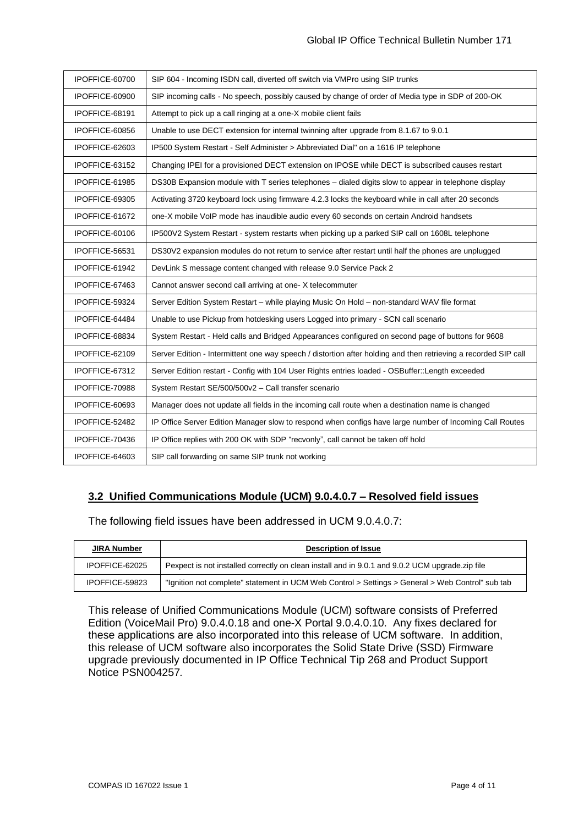| IPOFFICE-60700 | SIP 604 - Incoming ISDN call, diverted off switch via VMPro using SIP trunks                                    |
|----------------|-----------------------------------------------------------------------------------------------------------------|
| IPOFFICE-60900 | SIP incoming calls - No speech, possibly caused by change of order of Media type in SDP of 200-OK               |
| IPOFFICE-68191 | Attempt to pick up a call ringing at a one-X mobile client fails                                                |
| IPOFFICE-60856 | Unable to use DECT extension for internal twinning after upgrade from 8.1.67 to 9.0.1                           |
| IPOFFICE-62603 | IP500 System Restart - Self Administer > Abbreviated Dial" on a 1616 IP telephone                               |
| IPOFFICE-63152 | Changing IPEI for a provisioned DECT extension on IPOSE while DECT is subscribed causes restart                 |
| IPOFFICE-61985 | DS30B Expansion module with T series telephones - dialed digits slow to appear in telephone display             |
| IPOFFICE-69305 | Activating 3720 keyboard lock using firmware 4.2.3 locks the keyboard while in call after 20 seconds            |
| IPOFFICE-61672 | one-X mobile VoIP mode has inaudible audio every 60 seconds on certain Android handsets                         |
| IPOFFICE-60106 | IP500V2 System Restart - system restarts when picking up a parked SIP call on 1608L telephone                   |
| IPOFFICE-56531 | DS30V2 expansion modules do not return to service after restart until half the phones are unplugged             |
| IPOFFICE-61942 | DevLink S message content changed with release 9.0 Service Pack 2                                               |
| IPOFFICE-67463 | Cannot answer second call arriving at one- X telecommuter                                                       |
| IPOFFICE-59324 | Server Edition System Restart - while playing Music On Hold - non-standard WAV file format                      |
| IPOFFICE-64484 | Unable to use Pickup from hotdesking users Logged into primary - SCN call scenario                              |
| IPOFFICE-68834 | System Restart - Held calls and Bridged Appearances configured on second page of buttons for 9608               |
| IPOFFICE-62109 | Server Edition - Intermittent one way speech / distortion after holding and then retrieving a recorded SIP call |
| IPOFFICE-67312 | Server Edition restart - Config with 104 User Rights entries loaded - OSBuffer::Length exceeded                 |
| IPOFFICE-70988 | System Restart SE/500/500v2 - Call transfer scenario                                                            |
| IPOFFICE-60693 | Manager does not update all fields in the incoming call route when a destination name is changed                |
| IPOFFICE-52482 | IP Office Server Edition Manager slow to respond when configs have large number of Incoming Call Routes         |
| IPOFFICE-70436 | IP Office replies with 200 OK with SDP "recvonly", call cannot be taken off hold                                |
| IPOFFICE-64603 | SIP call forwarding on same SIP trunk not working                                                               |

# **3.2 Unified Communications Module (UCM) 9.0.4.0.7 – Resolved field issues**

The following field issues have been addressed in UCM 9.0.4.0.7:

| <b>JIRA Number</b> | <b>Description of Issue</b>                                                                      |
|--------------------|--------------------------------------------------------------------------------------------------|
| IPOFFICE-62025     | Pexpect is not installed correctly on clean install and in 9.0.1 and 9.0.2 UCM upgrade.zip file  |
| IPOFFICE-59823     | "Ignition not complete" statement in UCM Web Control > Settings > General > Web Control" sub tab |

This release of Unified Communications Module (UCM) software consists of Preferred Edition (VoiceMail Pro) 9.0.4.0.18 and one-X Portal 9.0.4.0.10. Any fixes declared for these applications are also incorporated into this release of UCM software. In addition, this release of UCM software also incorporates the Solid State Drive (SSD) Firmware upgrade previously documented in IP Office Technical Tip 268 and Product Support Notice PSN004257*.*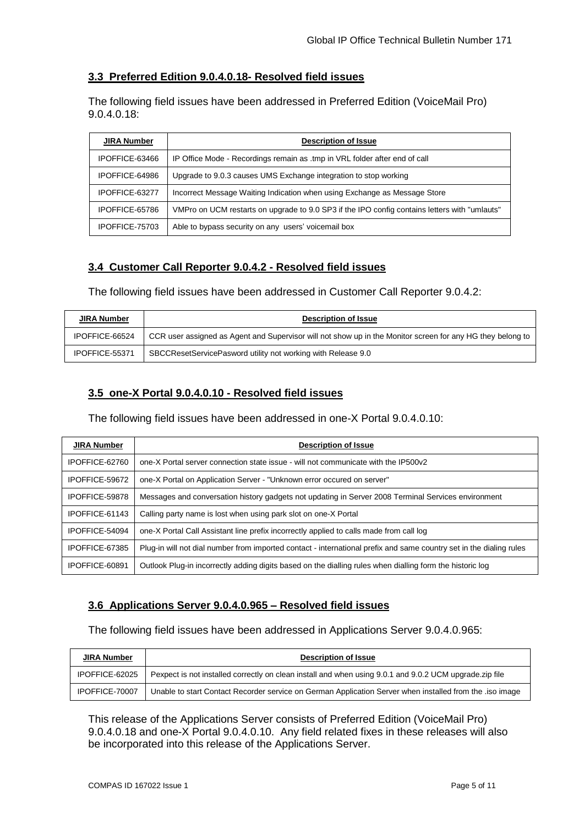## **3.3 Preferred Edition 9.0.4.0.18- Resolved field issues**

The following field issues have been addressed in Preferred Edition (VoiceMail Pro) 9.0.4.0.18:

| <b>JIRA Number</b>                                                                          | <b>Description of Issue</b>                                                                   |  |  |
|---------------------------------------------------------------------------------------------|-----------------------------------------------------------------------------------------------|--|--|
| IPOFFICE-63466                                                                              | IP Office Mode - Recordings remain as .tmp in VRL folder after end of call                    |  |  |
| IPOFFICE-64986                                                                              | Upgrade to 9.0.3 causes UMS Exchange integration to stop working                              |  |  |
| Incorrect Message Waiting Indication when using Exchange as Message Store<br>IPOFFICE-63277 |                                                                                               |  |  |
| IPOFFICE-65786                                                                              | VMPro on UCM restarts on upgrade to 9.0 SP3 if the IPO config contains letters with "umlauts" |  |  |
| IPOFFICE-75703                                                                              | Able to bypass security on any users' voicemail box                                           |  |  |

## **3.4 Customer Call Reporter 9.0.4.2 - Resolved field issues**

The following field issues have been addressed in Customer Call Reporter 9.0.4.2:

| <b>JIRA Number</b> | <b>Description of Issue</b>                                                                                |  |  |
|--------------------|------------------------------------------------------------------------------------------------------------|--|--|
| IPOFFICE-66524     | CCR user assigned as Agent and Supervisor will not show up in the Monitor screen for any HG they belong to |  |  |
| IPOFFICE-55371     | SBCCResetServicePasword utility not working with Release 9.0                                               |  |  |

# **3.5 one-X Portal 9.0.4.0.10 - Resolved field issues**

The following field issues have been addressed in one-X Portal 9.0.4.0.10:

| <b>JIRA Number</b> | <b>Description of Issue</b>                                                                                         |  |  |
|--------------------|---------------------------------------------------------------------------------------------------------------------|--|--|
| IPOFFICE-62760     | one-X Portal server connection state issue - will not communicate with the IP500v2                                  |  |  |
| IPOFFICE-59672     | one-X Portal on Application Server - "Unknown error occured on server"                                              |  |  |
| IPOFFICE-59878     | Messages and conversation history gadgets not updating in Server 2008 Terminal Services environment                 |  |  |
| IPOFFICE-61143     | Calling party name is lost when using park slot on one-X Portal                                                     |  |  |
| IPOFFICE-54094     | one-X Portal Call Assistant line prefix incorrectly applied to calls made from call log                             |  |  |
| IPOFFICE-67385     | Plug-in will not dial number from imported contact - international prefix and same country set in the dialing rules |  |  |
| IPOFFICE-60891     | Outlook Plug-in incorrectly adding digits based on the dialling rules when dialling form the historic log           |  |  |

# **3.6 Applications Server 9.0.4.0.965 – Resolved field issues**

The following field issues have been addressed in Applications Server 9.0.4.0.965:

| <b>JIRA Number</b> | <b>Description of Issue</b>                                                                               |  |  |
|--------------------|-----------------------------------------------------------------------------------------------------------|--|--|
| IPOFFICE-62025     | Pexpect is not installed correctly on clean install and when using 9.0.1 and 9.0.2 UCM upgrade zip file   |  |  |
| IPOFFICE-70007     | Unable to start Contact Recorder service on German Application Server when installed from the . iso image |  |  |

This release of the Applications Server consists of Preferred Edition (VoiceMail Pro) 9.0.4.0.18 and one-X Portal 9.0.4.0.10. Any field related fixes in these releases will also be incorporated into this release of the Applications Server.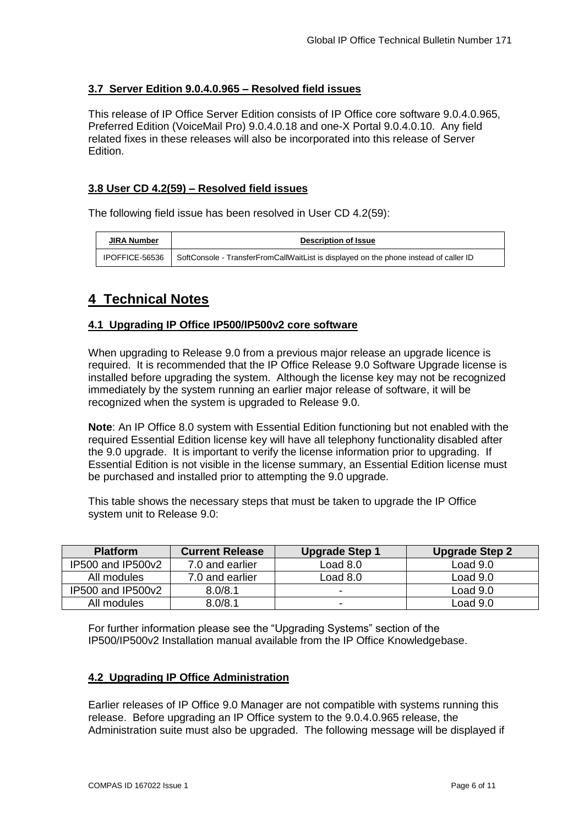## **3.7 Server Edition 9.0.4.0.965 – Resolved field issues**

This release of IP Office Server Edition consists of IP Office core software 9.0.4.0.965, Preferred Edition (VoiceMail Pro) 9.0.4.0.18 and one-X Portal 9.0.4.0.10. Any field related fixes in these releases will also be incorporated into this release of Server Edition.

### **3.8 User CD 4.2(59) – Resolved field issues**

The following field issue has been resolved in User CD 4.2(59):

| <b>JIRA Number</b> | <b>Description of Issue</b>                                                                            |
|--------------------|--------------------------------------------------------------------------------------------------------|
|                    | IPOFFICE-56536   SoftConsole - TransferFromCallWaitList is displayed on the phone instead of caller ID |

# **4 Technical Notes**

#### **4.1 Upgrading IP Office IP500/IP500v2 core software**

When upgrading to Release 9.0 from a previous major release an upgrade licence is required. It is recommended that the IP Office Release 9.0 Software Upgrade license is installed before upgrading the system. Although the license key may not be recognized immediately by the system running an earlier major release of software, it will be recognized when the system is upgraded to Release 9.0.

**Note**: An IP Office 8.0 system with Essential Edition functioning but not enabled with the required Essential Edition license key will have all telephony functionality disabled after the 9.0 upgrade. It is important to verify the license information prior to upgrading. If Essential Edition is not visible in the license summary, an Essential Edition license must be purchased and installed prior to attempting the 9.0 upgrade.

This table shows the necessary steps that must be taken to upgrade the IP Office system unit to Release 9.0:

| <b>Platform</b>   | <b>Current Release</b> | <b>Upgrade Step 1</b> | <b>Upgrade Step 2</b> |
|-------------------|------------------------|-----------------------|-----------------------|
| IP500 and IP500v2 | 7.0 and earlier        | Load 8.0              | Load $9.0$            |
| All modules       | 7.0 and earlier        | Load $8.0$            | Load $9.0$            |
| IP500 and IP500v2 | 8.0/8.1                | -                     | Load 9.0              |
| All modules       | 8.0/8.1                | -                     | Load 9.0              |

For further information please see the "Upgrading Systems" section of the IP500/IP500v2 Installation manual available from the IP Office Knowledgebase.

#### **4.2 Upgrading IP Office Administration**

Earlier releases of IP Office 9.0 Manager are not compatible with systems running this release. Before upgrading an IP Office system to the 9.0.4.0.965 release, the Administration suite must also be upgraded. The following message will be displayed if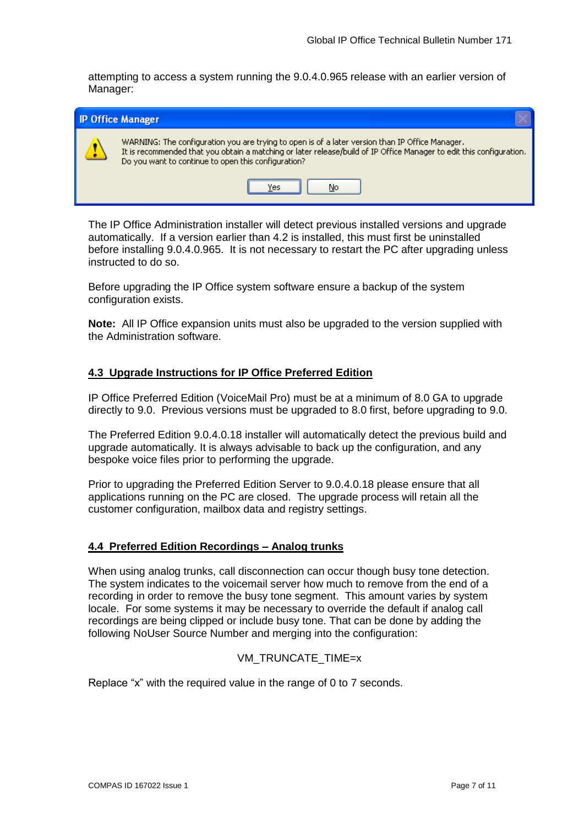attempting to access a system running the 9.0.4.0.965 release with an earlier version of Manager:

| <b>IP Office Manager</b>                                                                                                                                                                                                                                                       |
|--------------------------------------------------------------------------------------------------------------------------------------------------------------------------------------------------------------------------------------------------------------------------------|
| WARNING: The configuration you are trying to open is of a later version than IP Office Manager.<br>It is recommended that you obtain a matching or later release/build of IP Office Manager to edit this configuration.<br>Do you want to continue to open this configuration? |
| No                                                                                                                                                                                                                                                                             |

The IP Office Administration installer will detect previous installed versions and upgrade automatically. If a version earlier than 4.2 is installed, this must first be uninstalled before installing 9.0.4.0.965. It is not necessary to restart the PC after upgrading unless instructed to do so.

Before upgrading the IP Office system software ensure a backup of the system configuration exists.

**Note:** All IP Office expansion units must also be upgraded to the version supplied with the Administration software.

### **4.3 Upgrade Instructions for IP Office Preferred Edition**

IP Office Preferred Edition (VoiceMail Pro) must be at a minimum of 8.0 GA to upgrade directly to 9.0. Previous versions must be upgraded to 8.0 first, before upgrading to 9.0.

The Preferred Edition 9.0.4.0.18 installer will automatically detect the previous build and upgrade automatically. It is always advisable to back up the configuration, and any bespoke voice files prior to performing the upgrade.

Prior to upgrading the Preferred Edition Server to 9.0.4.0.18 please ensure that all applications running on the PC are closed. The upgrade process will retain all the customer configuration, mailbox data and registry settings.

#### **4.4 Preferred Edition Recordings – Analog trunks**

When using analog trunks, call disconnection can occur though busy tone detection. The system indicates to the voicemail server how much to remove from the end of a recording in order to remove the busy tone segment. This amount varies by system locale. For some systems it may be necessary to override the default if analog call recordings are being clipped or include busy tone. That can be done by adding the following NoUser Source Number and merging into the configuration:

#### VM\_TRUNCATE\_TIME=x

Replace "x" with the required value in the range of 0 to 7 seconds.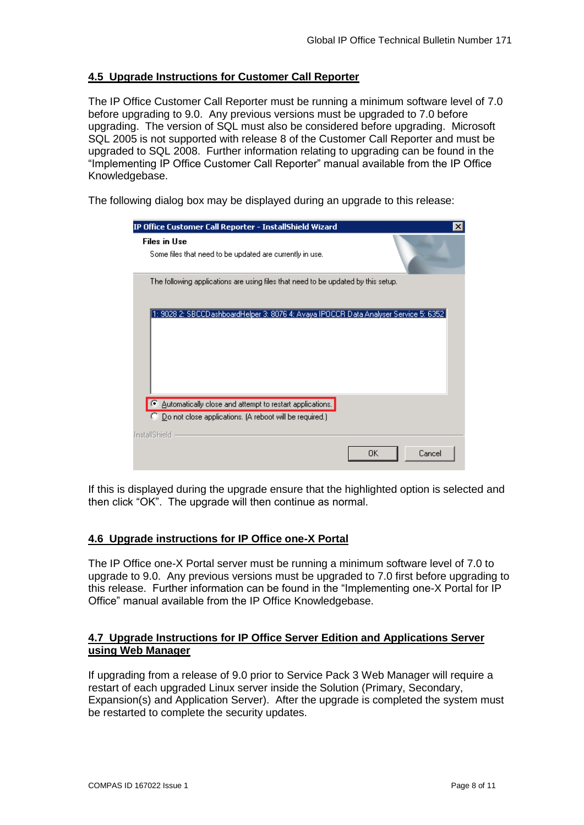### **4.5 Upgrade Instructions for Customer Call Reporter**

The IP Office Customer Call Reporter must be running a minimum software level of 7.0 before upgrading to 9.0. Any previous versions must be upgraded to 7.0 before upgrading. The version of SQL must also be considered before upgrading. Microsoft SQL 2005 is not supported with release 8 of the Customer Call Reporter and must be upgraded to SQL 2008. Further information relating to upgrading can be found in the "Implementing IP Office Customer Call Reporter" manual available from the IP Office Knowledgebase.

The following dialog box may be displayed during an upgrade to this release:

| IP Office Customer Call Reporter - InstallShield Wizard                                                               | × |
|-----------------------------------------------------------------------------------------------------------------------|---|
| <b>Files in Use</b><br>Some files that need to be updated are currently in use.                                       |   |
| The following applications are using files that need to be updated by this setup.                                     |   |
| 1: 9028 2: SBCCD ashboardHelper 3: 8076 4: Avaya IPOCCR Data Analyser Service 5: 6352                                 |   |
| Automatically close and attempt to restart applications.<br>C Do not close applications. (A reboot will be required.) |   |
| <b>InstallShield</b><br>Cancel<br>OΚ                                                                                  |   |

If this is displayed during the upgrade ensure that the highlighted option is selected and then click "OK". The upgrade will then continue as normal.

### **4.6 Upgrade instructions for IP Office one-X Portal**

The IP Office one-X Portal server must be running a minimum software level of 7.0 to upgrade to 9.0. Any previous versions must be upgraded to 7.0 first before upgrading to this release. Further information can be found in the "Implementing one-X Portal for IP Office" manual available from the IP Office Knowledgebase.

#### **4.7 Upgrade Instructions for IP Office Server Edition and Applications Server using Web Manager**

If upgrading from a release of 9.0 prior to Service Pack 3 Web Manager will require a restart of each upgraded Linux server inside the Solution (Primary, Secondary, Expansion(s) and Application Server). After the upgrade is completed the system must be restarted to complete the security updates.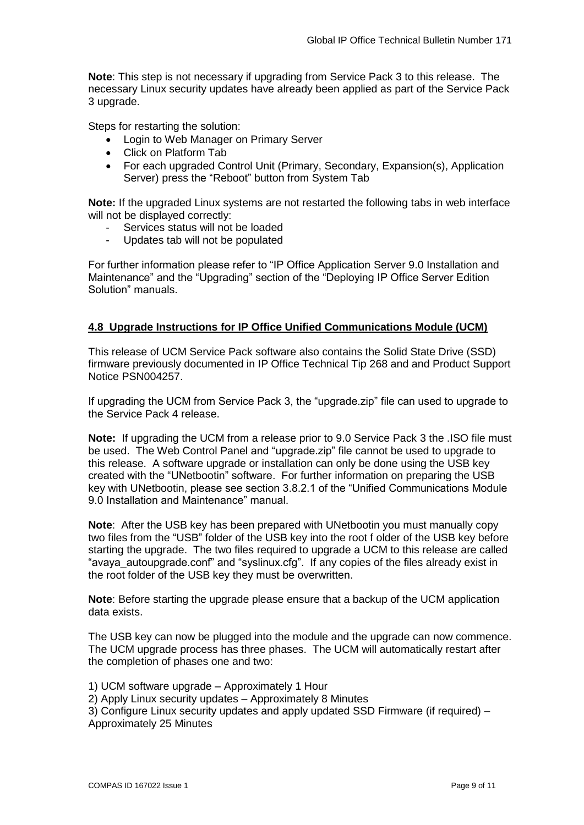**Note**: This step is not necessary if upgrading from Service Pack 3 to this release. The necessary Linux security updates have already been applied as part of the Service Pack 3 upgrade.

Steps for restarting the solution:

- Login to Web Manager on Primary Server
- Click on Platform Tab
- For each upgraded Control Unit (Primary, Secondary, Expansion(s), Application Server) press the "Reboot" button from System Tab

**Note:** If the upgraded Linux systems are not restarted the following tabs in web interface will not be displayed correctly:

- Services status will not be loaded
- Updates tab will not be populated

For further information please refer to "IP Office Application Server 9.0 Installation and Maintenance" and the "Upgrading" section of the "Deploying IP Office Server Edition Solution" manuals.

#### **4.8 Upgrade Instructions for IP Office Unified Communications Module (UCM)**

This release of UCM Service Pack software also contains the Solid State Drive (SSD) firmware previously documented in IP Office Technical Tip 268 and and Product Support Notice PSN004257.

If upgrading the UCM from Service Pack 3, the "upgrade.zip" file can used to upgrade to the Service Pack 4 release.

**Note:** If upgrading the UCM from a release prior to 9.0 Service Pack 3 the .ISO file must be used. The Web Control Panel and "upgrade.zip" file cannot be used to upgrade to this release. A software upgrade or installation can only be done using the USB key created with the "UNetbootin" software. For further information on preparing the USB key with UNetbootin, please see section 3.8.2.1 of the "Unified Communications Module 9.0 Installation and Maintenance" manual.

**Note**: After the USB key has been prepared with UNetbootin you must manually copy two files from the "USB" folder of the USB key into the root f older of the USB key before starting the upgrade. The two files required to upgrade a UCM to this release are called "avaya\_autoupgrade.conf" and "syslinux.cfg". If any copies of the files already exist in the root folder of the USB key they must be overwritten.

**Note**: Before starting the upgrade please ensure that a backup of the UCM application data exists.

The USB key can now be plugged into the module and the upgrade can now commence. The UCM upgrade process has three phases. The UCM will automatically restart after the completion of phases one and two:

- 1) UCM software upgrade Approximately 1 Hour
- 2) Apply Linux security updates Approximately 8 Minutes

3) Configure Linux security updates and apply updated SSD Firmware (if required) – Approximately 25 Minutes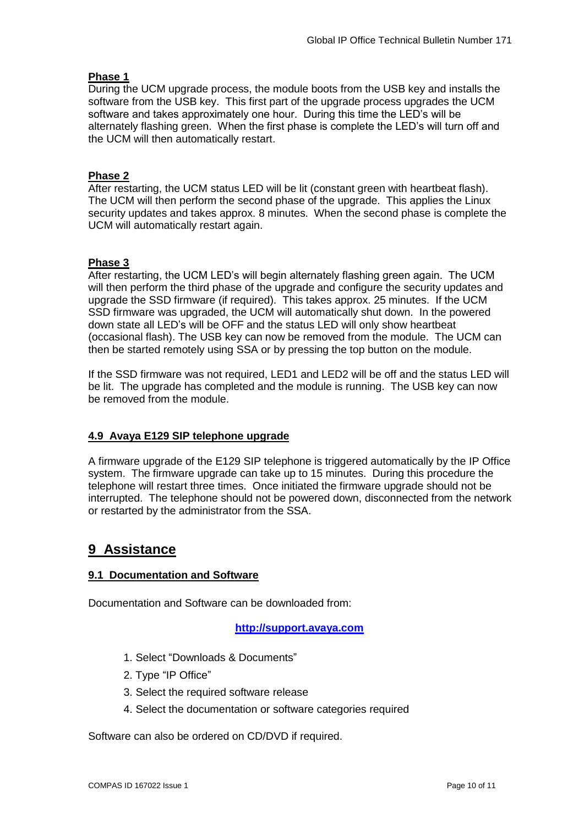## **Phase 1**

During the UCM upgrade process, the module boots from the USB key and installs the software from the USB key. This first part of the upgrade process upgrades the UCM software and takes approximately one hour. During this time the LED's will be alternately flashing green. When the first phase is complete the LED's will turn off and the UCM will then automatically restart.

## **Phase 2**

After restarting, the UCM status LED will be lit (constant green with heartbeat flash). The UCM will then perform the second phase of the upgrade. This applies the Linux security updates and takes approx. 8 minutes. When the second phase is complete the UCM will automatically restart again.

## **Phase 3**

After restarting, the UCM LED's will begin alternately flashing green again. The UCM will then perform the third phase of the upgrade and configure the security updates and upgrade the SSD firmware (if required). This takes approx. 25 minutes. If the UCM SSD firmware was upgraded, the UCM will automatically shut down. In the powered down state all LED's will be OFF and the status LED will only show heartbeat (occasional flash). The USB key can now be removed from the module. The UCM can then be started remotely using SSA or by pressing the top button on the module.

If the SSD firmware was not required, LED1 and LED2 will be off and the status LED will be lit. The upgrade has completed and the module is running. The USB key can now be removed from the module.

# **4.9 Avaya E129 SIP telephone upgrade**

A firmware upgrade of the E129 SIP telephone is triggered automatically by the IP Office system. The firmware upgrade can take up to 15 minutes. During this procedure the telephone will restart three times. Once initiated the firmware upgrade should not be interrupted. The telephone should not be powered down, disconnected from the network or restarted by the administrator from the SSA.

# **9 Assistance**

# **9.1 Documentation and Software**

Documentation and Software can be downloaded from:

### **[http://support.avaya.com](http://support.avaya.com/)**

- 1. Select "Downloads & Documents"
- 2. Type "IP Office"
- 3. Select the required software release
- 4. Select the documentation or software categories required

Software can also be ordered on CD/DVD if required.